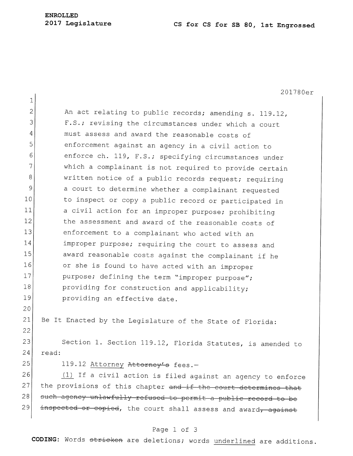## **ENROLLED**

## **<sup>2017</sup>Legislature CS for CS for SB 80, 1st Engrossed**

201780er 1 2 An act relating to public records; amending s. 119.12, 3 F.S.; revising the circumstances under which a court 4 must assess and award the reasonable costs of 5 Senforcement against an agency in a civil action to 6 enforce ch. 119, F.S.; specifying circumstances under  $7$  which a complainant is not required to provide certain 8 written notice of a public records request; requiring 9 a court to determine whether a complainant requested 10 to inspect or copy a public record or participated in 11 a civil action for an improper purpose; prohibiting 12 the assessment and award of the reasonable costs of 13 enforcement to a complainant who acted with an 14 improper purpose; requiring the court to assess and 15 award reasonable costs against the complainant if he 16 or she is found to have acted with an improper 17 purpose; defining the term "improper purpose"; 18 providing for construction and applicability; 19 **providing an effective date.** 20 21 Be It Enacted by the Legislature of the State of Florida: 22 23 Section 1. Section 119.12, Florida Statutes, is amended to 24 read: 25 119.12 Attorney Attorney's fees.-26  $(1)$  If a civil action is filed against an agency to enforce 27 the provisions of this chapter and if the court determines that 28 such agency unlawfully refused to permit a public record to be 29 inspected or copied, the court shall assess and award<del>, against</del>

## Page 1 of 3

**CODING:** Words stricken are deletions; words underlined are additions.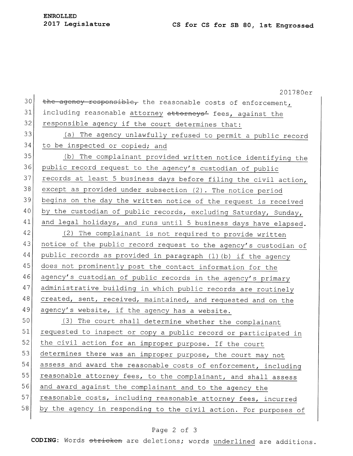30 35 40 45 50 55 201780er the agency responsible, the reasonable costs of enforcement, 31 including reasonable attorney attorneys' fees, against the  $32$  responsible agency if the court determines that: 33 (a) The agency unlawfully refused to permit a public record 34 to be inspected or copied; and (b) The complainant provided written notice identifying the 36 public record request to the agency's custodian of public  $37$  records at least 5 business days before filing the civil action, 38 except as provided under subsection (2). The notice period 39 begins on the day the written notice of the request is received by the custodian of public records, excluding Saturday, Sunday,  $41$  and legal holidays, and runs until 5 business days have elapsed.  $|42|$  (2) The complainant is not required to provide written 43 notice of the public record request to the agency's custodian of 44 public records as provided in paragraph (1) (b) if the agency does not prominently post the contact information for the 46 agency's custodian of public records in the agency's primary 47 administrative building in which public records are routinely 48 created, sent, received, maintained, and requested and on the 49 agency's website, if the agency has a website. (3) The court shall determine whether the complainant 51 requested to inspect or copy a public record or participated in 52 the civil action for an improper purpose. If the court 53 determines there was an improper purpose, the court may not 54 assess and award the reasonable costs of enforcement, including reasonable attorney fees, to the complainant, and shall assess 56 and award against the complainant and to the agency the 57 reasonable costs, including reasonable attorney fees, incurred 58 by the agency in responding to the civil action. For purposes of

## Page 2 of 3

**CODING:** Words stricken are deletions; words underlined are additions.